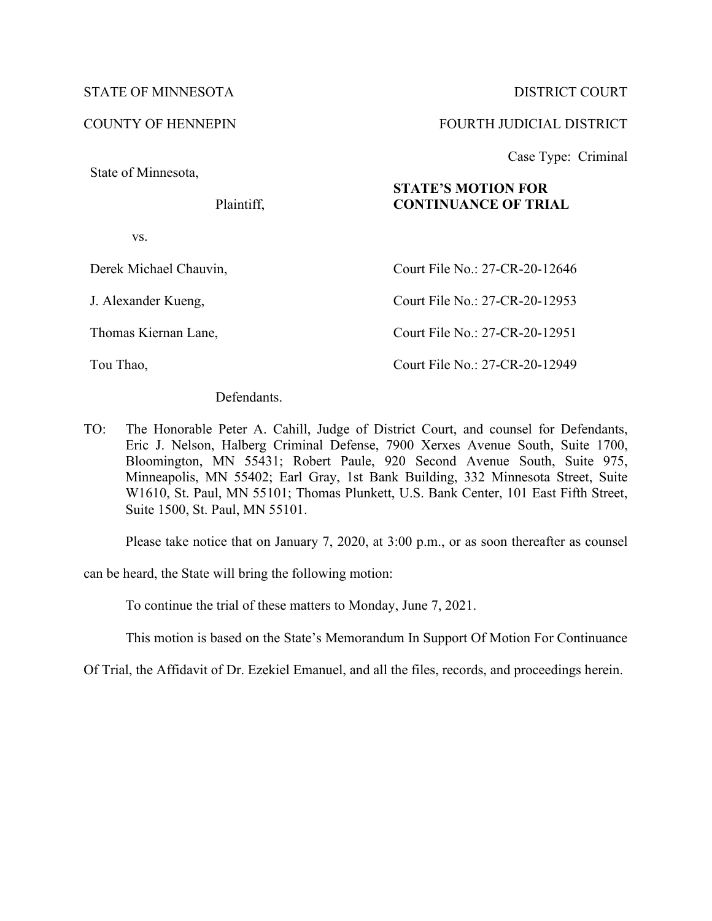### STATE OF MINNESOTA DISTRICT COURT

State of Minnesota,

Plaintiff,

vs.

Derek Michael Chauvin,

J. Alexander Kueng,

Thomas Kiernan Lane,

Tou Thao,

Defendants.

TO: The Honorable Peter A. Cahill, Judge of District Court, and counsel for Defendants, Eric J. Nelson, Halberg Criminal Defense, 7900 Xerxes Avenue South, Suite 1700, Bloomington, MN 55431; Robert Paule, 920 Second Avenue South, Suite 975, Minneapolis, MN 55402; Earl Gray, 1st Bank Building, 332 Minnesota Street, Suite W1610, St. Paul, MN 55101; Thomas Plunkett, U.S. Bank Center, 101 East Fifth Street, Suite 1500, St. Paul, MN 55101.

Please take notice that on January 7, 2020, at 3:00 p.m., or as soon thereafter as counsel

can be heard, the State will bring the following motion:

To continue the trial of these matters to Monday, June 7, 2021.

This motion is based on the State's Memorandum In Support Of Motion For Continuance

Of Trial, the Affidavit of Dr. Ezekiel Emanuel, and all the files, records, and proceedings herein.

## COUNTY OF HENNEPIN FOURTH JUDICIAL DISTRICT

Case Type: Criminal

# **STATE'S MOTION FOR CONTINUANCE OF TRIAL**

Court File No.: 27-CR-20-12646 Court File No.: 27-CR-20-12953 Court File No.: 27-CR-20-12951 Court File No.: 27-CR-20-12949